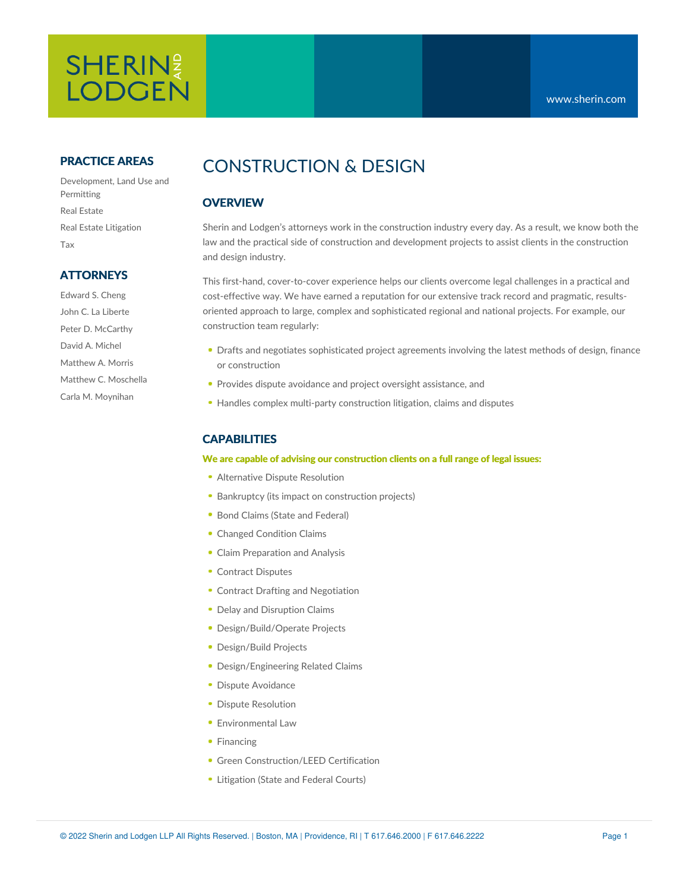# SHERIN? **LODGEN**

### **PRACTICE AREAS**

Development, Land Use and Permitting Real Estate Real Estate Litigation Tax

### **ATTORNEYS**

Edward S. Cheng John C. La Liberte Peter D. McCarthy David A. Michel Matthew A. Morris Matthew C. Moschella Carla M. Moynihan

# CONSTRUCTION & DESIGN

## **OVERVIEW**

Sherin and Lodgen's attorneys work in the construction industry every day. As a result, we know both the law and the practical side of construction and development projects to assist clients in the construction and design industry.

This first-hand, cover-to-cover experience helps our clients overcome legal challenges in a practical and cost-effective way. We have earned a reputation for our extensive track record and pragmatic, resultsoriented approach to large, complex and sophisticated regional and national projects. For example, our construction team regularly:

- **Drafts and negotiates sophisticated project agreements involving the latest methods of design, finance** or construction
- **Provides dispute avoidance and project oversight assistance, and**
- Handles complex multi-party construction litigation, claims and disputes

# **CAPABILITIES**

#### **We are capable of advising our construction clients on a full range of legal issues:**

- Alternative Dispute Resolution
- **Bankruptcy (its impact on construction projects)**
- Bond Claims (State and Federal)
- Changed Condition Claims
- Claim Preparation and Analysis
- Contract Disputes
- Contract Drafting and Negotiation
- Delay and Disruption Claims
- Design/Build/Operate Projects
- Design/Build Projects
- Design/Engineering Related Claims
- **Dispute Avoidance**
- **Dispute Resolution**
- **Environmental Law**
- Financing
- **Green Construction/LEED Certification**
- **Litigation (State and Federal Courts)**